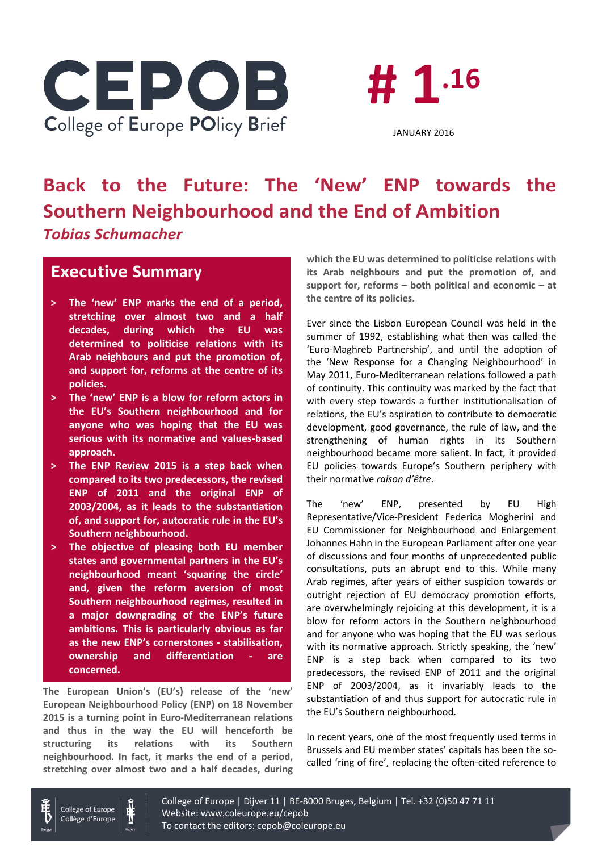



# **Back to the Future: The 'New' ENP towards the Southern Neighbourhood and the End of Ambition** *Tobias Schumacher*

### **Executive Summary**

- **> The 'new' ENP marks the end of a period, stretching over almost two and a half decades, during which the EU was determined to politicise relations with its Arab neighbours and put the promotion of, and support for, reforms at the centre of its policies.**
- **> The 'new' ENP is a blow for reform actors in the EU's Southern neighbourhood and for anyone who was hoping that the EU was serious with its normative and values-based approach.**
- **> The ENP Review 2015 is a step back when compared to its two predecessors, the revised ENP of 2011 and the original ENP of 2003/2004, as it leads to the substantiation of, and support for, autocratic rule in the EU's Southern neighbourhood.**
- **> The objective of pleasing both EU member states and governmental partners in the EU's neighbourhood meant 'squaring the circle' and, given the reform aversion of most Southern neighbourhood regimes, resulted in a major downgrading of the ENP's future ambitions. This is particularly obvious as far as the new ENP's cornerstones - stabilisation, ownership and differentiation - are concerned.**

**The European Union's (EU's) release of the 'new' European Neighbourhood Policy (ENP) on 18 November 2015 is a turning point in Euro-Mediterranean relations and thus in the way the EU will henceforth be structuring its relations with its Southern neighbourhood. In fact, it marks the end of a period, stretching over almost two and a half decades, during** 

**which the EU was determined to politicise relations with its Arab neighbours and put the promotion of, and support for, reforms – both political and economic – at the centre of its policies.**

Ever since the Lisbon European Council was held in the summer of 1992, establishing what then was called the 'Euro-Maghreb Partnership', and until the adoption of the 'New Response for a Changing Neighbourhood' in May 2011, Euro-Mediterranean relations followed a path of continuity. This continuity was marked by the fact that with every step towards a further institutionalisation of relations, the EU's aspiration to contribute to democratic development, good governance, the rule of law, and the strengthening of human rights in its Southern neighbourhood became more salient. In fact, it provided EU policies towards Europe's Southern periphery with their normative *raison d'être*.

The 'new' ENP, presented by EU High Representative/Vice-President Federica Mogherini and EU Commissioner for Neighbourhood and Enlargement Johannes Hahn in the European Parliament after one year of discussions and four months of unprecedented public consultations, puts an abrupt end to this. While many Arab regimes, after years of either suspicion towards or outright rejection of EU democracy promotion efforts, are overwhelmingly rejoicing at this development, it is a blow for reform actors in the Southern neighbourhood and for anyone who was hoping that the EU was serious with its normative approach. Strictly speaking, the 'new' ENP is a step back when compared to its two predecessors, the revised ENP of 2011 and the original ENP of 2003/2004, as it invariably leads to the substantiation of and thus support for autocratic rule in the EU's Southern neighbourhood.

In recent years, one of the most frequently used terms in Brussels and EU member states' capitals has been the socalled 'ring of fire', replacing the often-cited reference to



College of Europe | Dijver 11 | BE-8000 Bruges, Belgium | Tel. +32 (0)50 47 71 11 Website: www.coleurope.eu/cepob To contact the editors: cepob@coleurope.eu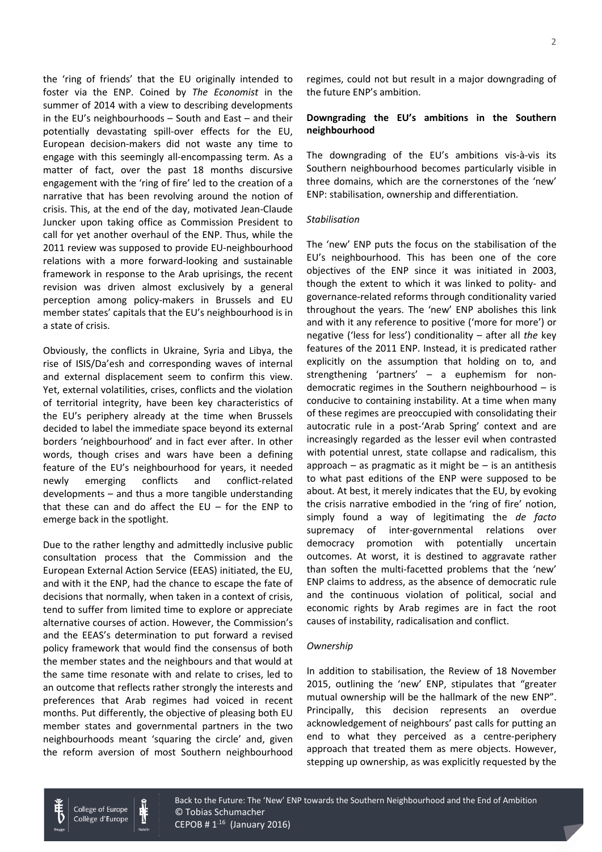the 'ring of friends' that the EU originally intended to foster via the ENP. Coined by *The Economist* in the summer of 2014 with a view to describing developments in the EU's neighbourhoods – South and East – and their potentially devastating spill-over effects for the EU, European decision-makers did not waste any time to engage with this seemingly all-encompassing term. As a matter of fact, over the past 18 months discursive engagement with the 'ring of fire' led to the creation of a narrative that has been revolving around the notion of crisis. This, at the end of the day, motivated Jean-Claude Juncker upon taking office as Commission President to call for yet another overhaul of the ENP. Thus, while the 2011 review was supposed to provide EU-neighbourhood relations with a more forward-looking and sustainable framework in response to the Arab uprisings, the recent revision was driven almost exclusively by a general perception among policy-makers in Brussels and EU member states' capitals that the EU's neighbourhood is in a state of crisis.

Obviously, the conflicts in Ukraine, Syria and Libya, the rise of ISIS/Da'esh and corresponding waves of internal and external displacement seem to confirm this view. Yet, external volatilities, crises, conflicts and the violation of territorial integrity, have been key characteristics of the EU's periphery already at the time when Brussels decided to label the immediate space beyond its external borders 'neighbourhood' and in fact ever after. In other words, though crises and wars have been a defining feature of the EU's neighbourhood for years, it needed newly emerging conflicts and conflict-related developments – and thus a more tangible understanding that these can and do affect the  $EU$  – for the ENP to emerge back in the spotlight.

Due to the rather lengthy and admittedly inclusive public consultation process that the Commission and the European External Action Service (EEAS) initiated, the EU, and with it the ENP, had the chance to escape the fate of decisions that normally, when taken in a context of crisis, tend to suffer from limited time to explore or appreciate alternative courses of action. However, the Commission's and the EEAS's determination to put forward a revised policy framework that would find the consensus of both the member states and the neighbours and that would at the same time resonate with and relate to crises, led to an outcome that reflects rather strongly the interests and preferences that Arab regimes had voiced in recent months. Put differently, the objective of pleasing both EU member states and governmental partners in the two neighbourhoods meant 'squaring the circle' and, given the reform aversion of most Southern neighbourhood regimes, could not but result in a major downgrading of the future ENP's ambition.

#### **Downgrading the EU's ambitions in the Southern neighbourhood**

The downgrading of the EU's ambitions vis-à-vis its Southern neighbourhood becomes particularly visible in three domains, which are the cornerstones of the 'new' ENP: stabilisation, ownership and differentiation.

#### *Stabilisation*

The 'new' ENP puts the focus on the stabilisation of the EU's neighbourhood. This has been one of the core objectives of the ENP since it was initiated in 2003, though the extent to which it was linked to polity- and governance-related reforms through conditionality varied throughout the years. The 'new' ENP abolishes this link and with it any reference to positive ('more for more') or negative ('less for less') conditionality – after all *the* key features of the 2011 ENP. Instead, it is predicated rather explicitly on the assumption that holding on to, and strengthening 'partners' – a euphemism for nondemocratic regimes in the Southern neighbourhood – is conducive to containing instability. At a time when many of these regimes are preoccupied with consolidating their autocratic rule in a post-'Arab Spring' context and are increasingly regarded as the lesser evil when contrasted with potential unrest, state collapse and radicalism, this approach  $-$  as pragmatic as it might be  $-$  is an antithesis to what past editions of the ENP were supposed to be about. At best, it merely indicates that the EU, by evoking the crisis narrative embodied in the 'ring of fire' notion, simply found a way of legitimating the *de facto* supremacy of inter-governmental relations over democracy promotion with potentially uncertain outcomes. At worst, it is destined to aggravate rather than soften the multi-facetted problems that the 'new' ENP claims to address, as the absence of democratic rule and the continuous violation of political, social and economic rights by Arab regimes are in fact the root causes of instability, radicalisation and conflict.

#### *Ownership*

In addition to stabilisation, the Review of 18 November 2015, outlining the 'new' ENP, stipulates that "greater mutual ownership will be the hallmark of the new ENP". Principally, this decision represents an overdue acknowledgement of neighbours' past calls for putting an end to what they perceived as a centre-periphery approach that treated them as mere objects. However, stepping up ownership, as was explicitly requested by the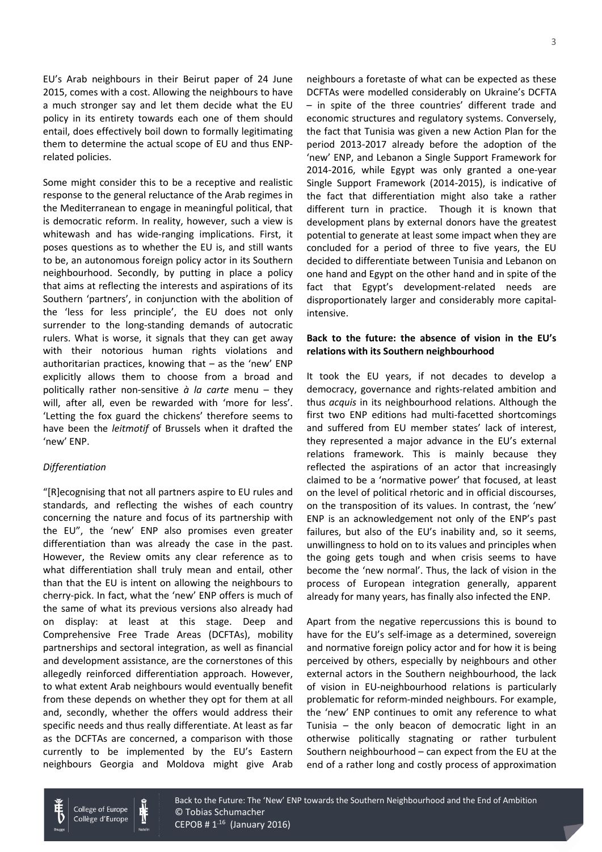EU's Arab neighbours in their Beirut paper of 24 June 2015, comes with a cost. Allowing the neighbours to have a much stronger say and let them decide what the EU policy in its entirety towards each one of them should entail, does effectively boil down to formally legitimating them to determine the actual scope of EU and thus ENPrelated policies.

Some might consider this to be a receptive and realistic response to the general reluctance of the Arab regimes in the Mediterranean to engage in meaningful political, that is democratic reform. In reality, however, such a view is whitewash and has wide-ranging implications. First, it poses questions as to whether the EU is, and still wants to be, an autonomous foreign policy actor in its Southern neighbourhood. Secondly, by putting in place a policy that aims at reflecting the interests and aspirations of its Southern 'partners', in conjunction with the abolition of the 'less for less principle', the EU does not only surrender to the long-standing demands of autocratic rulers. What is worse, it signals that they can get away with their notorious human rights violations and authoritarian practices, knowing that – as the 'new' ENP explicitly allows them to choose from a broad and politically rather non-sensitive *à la carte* menu – they will, after all, even be rewarded with 'more for less'. 'Letting the fox guard the chickens' therefore seems to have been the *leitmotif* of Brussels when it drafted the 'new' ENP.

#### *Differentiation*

"[R]ecognising that not all partners aspire to EU rules and standards, and reflecting the wishes of each country concerning the nature and focus of its partnership with the EU", the 'new' ENP also promises even greater differentiation than was already the case in the past. However, the Review omits any clear reference as to what differentiation shall truly mean and entail, other than that the EU is intent on allowing the neighbours to cherry-pick. In fact, what the 'new' ENP offers is much of the same of what its previous versions also already had on display: at least at this stage. Deep and Comprehensive Free Trade Areas (DCFTAs), mobility partnerships and sectoral integration, as well as financial and development assistance, are the cornerstones of this allegedly reinforced differentiation approach. However, to what extent Arab neighbours would eventually benefit from these depends on whether they opt for them at all and, secondly, whether the offers would address their specific needs and thus really differentiate. At least as far as the DCFTAs are concerned, a comparison with those currently to be implemented by the EU's Eastern neighbours Georgia and Moldova might give Arab

neighbours a foretaste of what can be expected as these DCFTAs were modelled considerably on Ukraine's DCFTA – in spite of the three countries' different trade and economic structures and regulatory systems. Conversely, the fact that Tunisia was given a new Action Plan for the period 2013-2017 already before the adoption of the 'new' ENP, and Lebanon a Single Support Framework for 2014-2016, while Egypt was only granted a one-year Single Support Framework (2014-2015), is indicative of the fact that differentiation might also take a rather different turn in practice. Though it is known that development plans by external donors have the greatest potential to generate at least some impact when they are concluded for a period of three to five years, the EU decided to differentiate between Tunisia and Lebanon on one hand and Egypt on the other hand and in spite of the fact that Egypt's development-related needs are disproportionately larger and considerably more capitalintensive.

### **Back to the future: the absence of vision in the EU's relations with its Southern neighbourhood**

It took the EU years, if not decades to develop a democracy, governance and rights-related ambition and thus *acquis* in its neighbourhood relations. Although the first two ENP editions had multi-facetted shortcomings and suffered from EU member states' lack of interest, they represented a major advance in the EU's external relations framework. This is mainly because they reflected the aspirations of an actor that increasingly claimed to be a 'normative power' that focused, at least on the level of political rhetoric and in official discourses, on the transposition of its values. In contrast, the 'new' ENP is an acknowledgement not only of the ENP's past failures, but also of the EU's inability and, so it seems, unwillingness to hold on to its values and principles when the going gets tough and when crisis seems to have become the 'new normal'. Thus, the lack of vision in the process of European integration generally, apparent already for many years, has finally also infected the ENP.

Apart from the negative repercussions this is bound to have for the EU's self-image as a determined, sovereign and normative foreign policy actor and for how it is being perceived by others, especially by neighbours and other external actors in the Southern neighbourhood, the lack of vision in EU-neighbourhood relations is particularly problematic for reform-minded neighbours. For example, the 'new' ENP continues to omit any reference to what Tunisia – the only beacon of democratic light in an otherwise politically stagnating or rather turbulent Southern neighbourhood – can expect from the EU at the end of a rather long and costly process of approximation



College of Europe Collège d'Europe